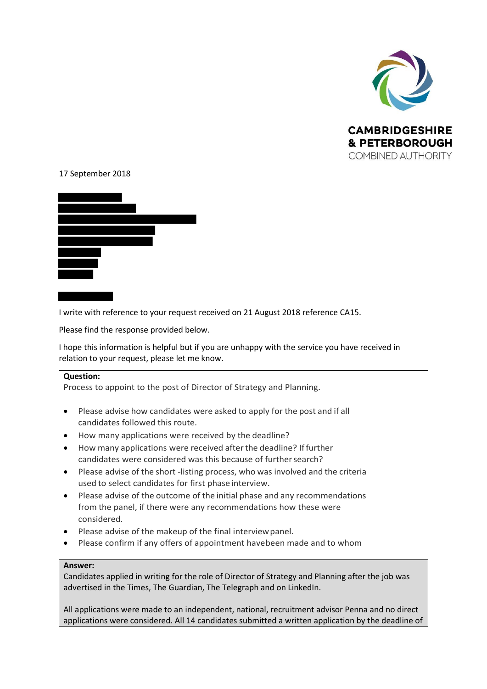

## 17 September 2018



I write with reference to your request received on 21 August 2018 reference CA15.

Please find the response provided below.

I hope this information is helpful but if you are unhappy with the service you have received in relation to your request, please let me know.

## **Question:**

Process to appoint to the post of Director of Strategy and Planning.

- Please advise how candidates were asked to apply for the post and if all candidates followed this route.
- How many applications were received by the deadline?
- How many applications were received afterthe deadline? Iffurther candidates were considered was this because of further search?
- Please advise of the short -listing process, who was involved and the criteria used to select candidates for first phase interview.
- Please advise of the outcome of the initial phase and any recommendations from the panel, if there were any recommendations how these were considered.
- Please advise of the makeup of the final interviewpanel.
- Please confirm if any offers of appointment havebeen made and to whom

## **Answer:**

Candidates applied in writing for the role of Director of Strategy and Planning after the job was advertised in the Times, The Guardian, The Telegraph and on LinkedIn.

All applications were made to an independent, national, recruitment advisor Penna and no direct applications were considered. All 14 candidates submitted a written application by the deadline of